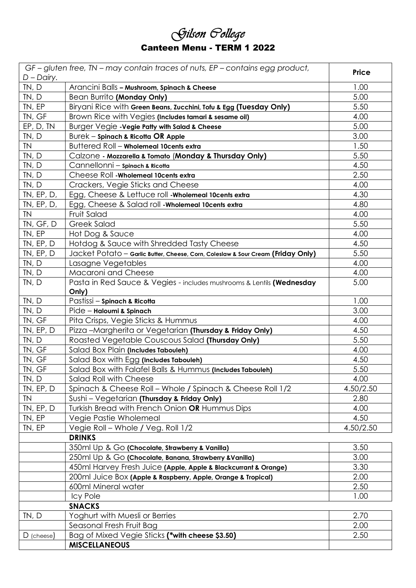|                                   | Gilson Gollege |  |
|-----------------------------------|----------------|--|
| <b>Canteen Menu - TERM 1 2022</b> |                |  |

|               | GF-gluten free, TN-may contain traces of nuts, EP-contains egg product,          | <b>Price</b> |
|---------------|----------------------------------------------------------------------------------|--------------|
| $D$ – Dairy.  |                                                                                  |              |
| TN, D         | Arancini Balls - Mushroom, Spinach & Cheese                                      | 1.00         |
| TN, D         | Bean Burrito (Monday Only)                                                       | 5.00         |
| TN, EP        | Biryani Rice with Green Beans, Zucchini, Tofu & Egg (Tuesday Only)               | 5.50         |
| TN, GF        | Brown Rice with Vegies (Includes tamari & sesame oil)                            | 4.00         |
| EP, D, TN     | Burger Vegie - Vegie Patty with Salad & Cheese                                   | 5.00         |
| TN, D         | Burek - Spinach & Ricotta OR Apple                                               | 3.00         |
| <b>TN</b>     | Buttered Roll - Wholemeal 10cents extra                                          | 1.50         |
| TN, D         | Calzone - Mozzarella & Tomato (Monday & Thursday Only)                           | 5.50         |
| TN, D         | Cannellonni - spinach & Ricotta                                                  | 4.50         |
| TN, D         | Cheese Roll - Wholemeal 10 cents extra                                           | 2.50         |
| TN, D         | Crackers, Vegie Sticks and Cheese                                                | 4.00         |
| TN, EP, D,    | Egg, Cheese & Lettuce roll - Wholemeal 10cents extra                             | 4.30         |
| TN, EP, D,    | Egg, Cheese & Salad roll - Wholemeal 10cents extra                               | 4.80         |
| <b>TN</b>     | Fruit Salad                                                                      | 4.00         |
| TN, GF, D     | <b>Greek Salad</b>                                                               | 5.50         |
| TN, EP        | Hot Dog & Sauce                                                                  | 4.00         |
| TN, EP, D     | Hotdog & Sauce with Shredded Tasty Cheese                                        | 4.50         |
| TN, EP, D     | Jacket Potato - Garlic Butter, Cheese, Corn, Coleslaw & Sour Cream (Friday Only) | 5.50         |
| TN, D         | Lasagne Vegetables                                                               | 4.00         |
| TN, D         | Macaroni and Cheese                                                              | 4.00         |
| TN, D         | Pasta in Red Sauce & Vegies - includes mushrooms & Lentils (Wednesday            | 5.00         |
|               | Only)                                                                            |              |
| TN, D         | Pastissi - Spinach & Ricotta                                                     | 1.00         |
| TN, D         | Pide – Haloumi & Spinach                                                         | 3.00         |
| TN, GF        | Pita Crisps, Vegie Sticks & Hummus                                               | 4.00         |
| TN, EP, D     | Pizza -Margherita or Vegetarian (Thursday & Friday Only)                         | 4.50         |
| TN, D         | Roasted Vegetable Couscous Salad (Thursday Only)                                 | 5.50         |
| TN, GF        | Salad Box Plain (Includes Tabouleh)                                              | 4.00         |
| TN, GF        | Salad Box with Egg (Includes Tabouleh)                                           | 4.50         |
| TN, GF        | Salad Box with Falafel Balls & Hummus (Includes Tabouleh)                        | 5.50         |
| TN, D         | Salad Roll with Cheese                                                           | 4.00         |
| TN, EP, D     | Spinach & Cheese Roll – Whole / Spinach & Cheese Roll 1/2                        | 4.50/2.50    |
| <b>TN</b>     | Sushi - Vegetarian (Thursday & Friday Only)                                      | 2.80         |
| TN, EP, D     | Turkish Bread with French Onion OR Hummus Dips                                   | 4.00         |
| TN, EP        | Vegie Pastie Wholemeal                                                           | 4.50         |
| TN, EP        | Vegie Roll - Whole / Veg. Roll 1/2                                               | 4.50/2.50    |
|               | <b>DRINKS</b>                                                                    |              |
|               | 350ml Up & Go (Chocolate, Strawberry & Vanilla)                                  | 3.50         |
|               | 250ml Up & Go (Chocolate, Banana, Strawberry & Vanilla)                          | 3.00         |
|               | 450ml Harvey Fresh Juice (Apple, Apple & Blackcurrant & Orange)                  | 3.30         |
|               | 200ml Juice Box (Apple & Raspberry, Apple, Orange & Tropical)                    | 2.00         |
|               | 600ml Mineral water                                                              | 2.50         |
|               | Icy Pole                                                                         | 1.00         |
| <b>SNACKS</b> |                                                                                  |              |
| TN, D         | Yoghurt with Muesli or Berries                                                   | 2.70         |
|               | Seasonal Fresh Fruit Bag                                                         | 2.00         |
| $D$ (cheese)  | Bag of Mixed Vegie Sticks (*with cheese \$3.50)                                  | 2.50         |
|               | <b>MISCELLANEOUS</b>                                                             |              |